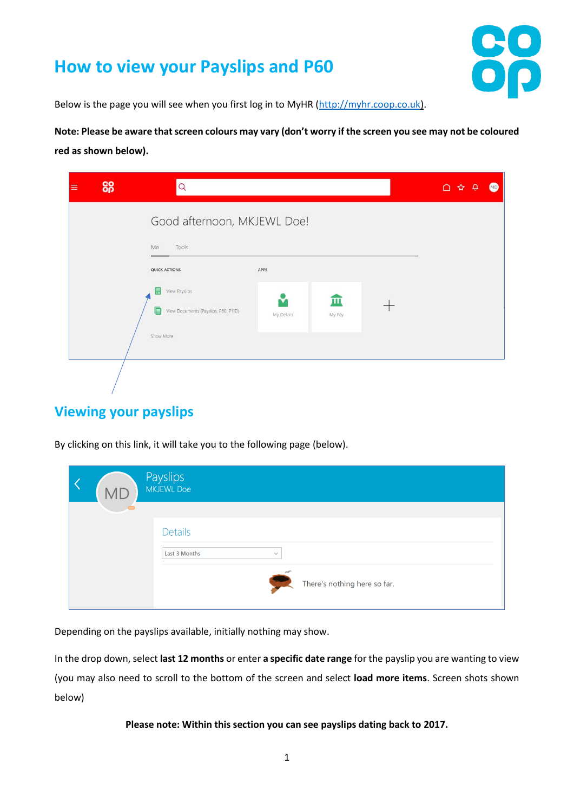## **How to view your Payslips and P60**



Below is the page you will see when you first log in to MyHR [\(http://myhr.coop.co.uk\)](http://myhr.coop.co.uk/).

**Note: Please be aware that screen colours may vary (don't worry if the screen you see may not be coloured red as shown below).**

| ≡ | 88 | Q                                                                       |                 |             | △<br>ڥ<br>☆ | <b>MD</b> |
|---|----|-------------------------------------------------------------------------|-----------------|-------------|-------------|-----------|
|   |    | Good afternoon, MKJEWL Doe!<br>Me<br>Tools<br><b>QUICK ACTIONS</b>      | APPS            |             |             |           |
|   |    | View Payslips<br>빨<br>View Documents (Payslips, P60, P11D)<br>Show More | M<br>My Details | 皿<br>My Pay |             |           |
|   |    |                                                                         |                 |             |             |           |

## **Viewing your payslips**

By clicking on this link, it will take you to the following page (below).

| <b>MD</b> | Payslips<br>MKJEWL Doe                                                          |
|-----------|---------------------------------------------------------------------------------|
|           | <b>Details</b><br>Last 3 Months<br>$\checkmark$<br>There's nothing here so far. |

Depending on the payslips available, initially nothing may show.

In the drop down, select **last 12 months** or enter **a specific date range** for the payslip you are wanting to view (you may also need to scroll to the bottom of the screen and select **load more items**. Screen shots shown below)

**Please note: Within this section you can see payslips dating back to 2017.**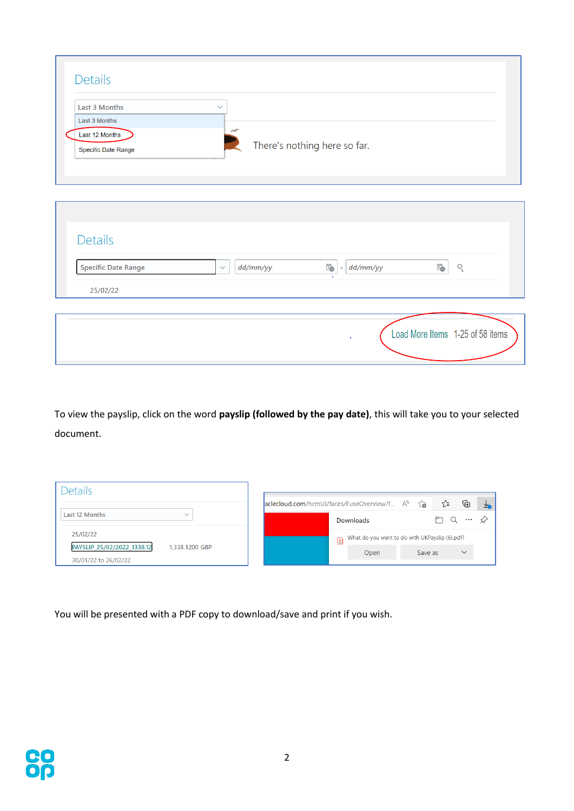| Last 3 Months<br>Last 3 Months        | $\checkmark$ |          |                                                |         |
|---------------------------------------|--------------|----------|------------------------------------------------|---------|
| Last 12 Months<br>Specific Date Range |              |          | There's nothing here so far.                   |         |
|                                       |              |          |                                                |         |
| <b>Details</b>                        |              |          |                                                |         |
| <b>Specific Date Range</b>            | $\checkmark$ | dd/mm/yy | $\overleftrightarrow{1}$<br>dd/mm/yy<br>$\sim$ | Ïò<br>O |
|                                       |              |          |                                                |         |

To view the payslip, click on the word **payslip (followed by the pay date)**, this will take you to your selected document.

| Details                                                              |                                                                         |          |
|----------------------------------------------------------------------|-------------------------------------------------------------------------|----------|
|                                                                      | ⊕<br>ど<br>సం<br>aclecloud.com/hcmUI/faces/FuseOverview?f A <sup>N</sup> | Ye       |
| Last 12 Months<br>$\checkmark$                                       | Downloads                                                               | $\cdots$ |
| 25/02/22                                                             | What do you want to do with UKPayslip (6).pdf?<br>$\overline{E}$        |          |
| PAYSLIP_25/02/2022_1338.12<br>1,338.1200 GBP<br>30/01/22 to 26/02/22 | $\checkmark$<br>Save as<br>Open                                         |          |

You will be presented with a PDF copy to download/save and print if you wish.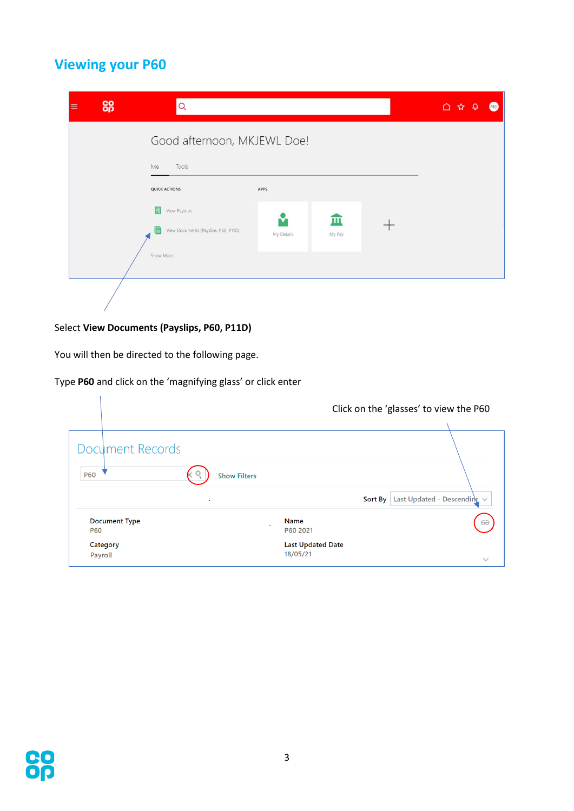## **Viewing your P60**

| 8g<br>⋿ | Q                                                                                                    |                    |             | $\begin{array}{ccc}\n\bullet & \bullet & \bullet \\ \bullet & \bullet & \bullet\n\end{array}$ | $\bullet$ |
|---------|------------------------------------------------------------------------------------------------------|--------------------|-------------|-----------------------------------------------------------------------------------------------|-----------|
|         | Good afternoon, MKJEWL Doe!<br>Me<br>Tools                                                           |                    |             |                                                                                               |           |
|         | <b>QUICK ACTIONS</b><br>靊<br>View Payslips<br>View Documents (Payslips, P60, P11D)<br>E<br>Show More | APPS<br>My Details | ш<br>My Pay |                                                                                               |           |
|         |                                                                                                      |                    |             |                                                                                               |           |

## Select **View Documents (Payslips, P60, P11D)**

You will then be directed to the following page.

 $\mathbf{r}$ 

Type **P60** and click on the 'magnifying glass' or click enter

|                                    | Click on the 'glasses' to view the P60 |                                  |
|------------------------------------|----------------------------------------|----------------------------------|
| Document Records<br><b>P60</b>     | <b>Show Filters</b>                    |                                  |
| ٠                                  | Sort By                                | Last Updated - Descending $\vee$ |
| <b>Document Type</b><br><b>P60</b> | <b>Name</b><br>$\epsilon$<br>P60 2021  | $6\hat{\sigma}$                  |
| Category<br>Payroll                | <b>Last Updated Date</b><br>18/05/21   | $\checkmark$                     |